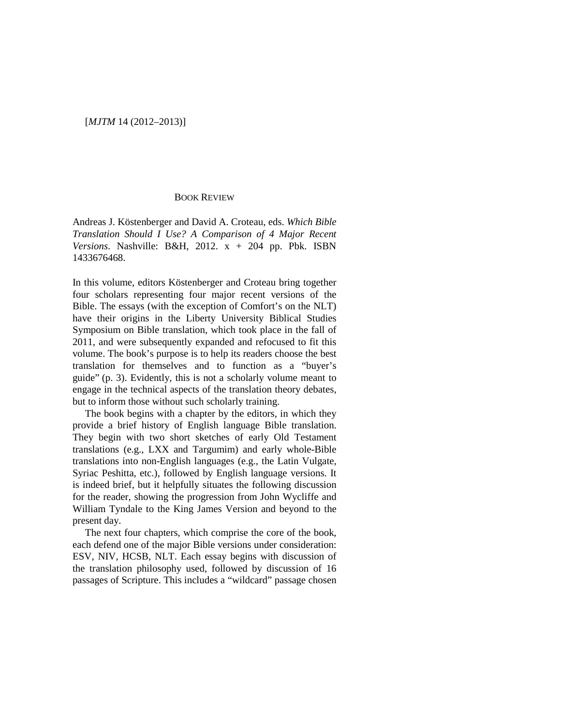### [*MJTM* 14 (2012–2013)]

### BOOK REVIEW

Andreas J. Köstenberger and David A. Croteau, eds. *Which Bible Translation Should I Use? A Comparison of 4 Major Recent Versions*. Nashville: B&H, 2012. x + 204 pp. Pbk. ISBN 1433676468.

In this volume, editors Köstenberger and Croteau bring together four scholars representing four major recent versions of the Bible. The essays (with the exception of Comfort's on the NLT) have their origins in the Liberty University Biblical Studies Symposium on Bible translation, which took place in the fall of 2011, and were subsequently expanded and refocused to fit this volume. The book's purpose is to help its readers choose the best translation for themselves and to function as a "buyer's guide" (p. 3). Evidently, this is not a scholarly volume meant to engage in the technical aspects of the translation theory debates, but to inform those without such scholarly training.

The book begins with a chapter by the editors, in which they provide a brief history of English language Bible translation. They begin with two short sketches of early Old Testament translations (e.g., LXX and Targumim) and early whole-Bible translations into non-English languages (e.g., the Latin Vulgate, Syriac Peshitta, etc.), followed by English language versions. It is indeed brief, but it helpfully situates the following discussion for the reader, showing the progression from John Wycliffe and William Tyndale to the King James Version and beyond to the present day.

The next four chapters, which comprise the core of the book, each defend one of the major Bible versions under consideration: ESV, NIV, HCSB, NLT. Each essay begins with discussion of the translation philosophy used, followed by discussion of 16 passages of Scripture. This includes a "wildcard" passage chosen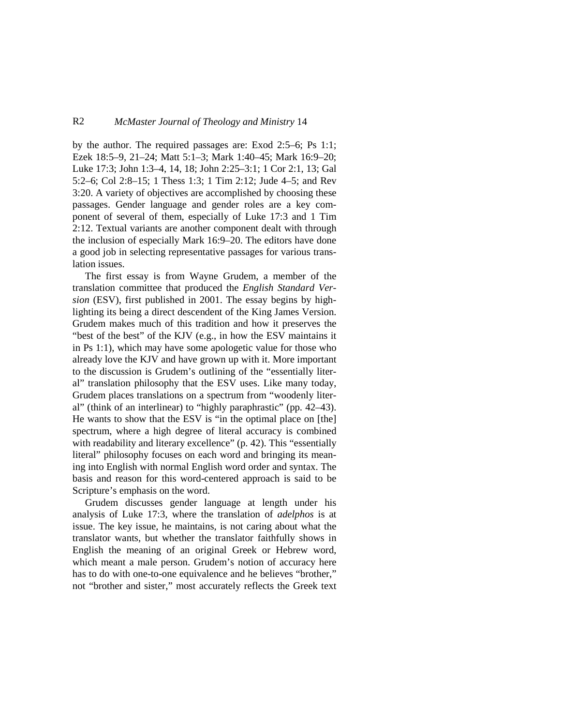## R2 *McMaster Journal of Theology and Ministry* 14

by the author. The required passages are: Exod 2:5–6; Ps 1:1; Ezek 18:5–9, 21–24; Matt 5:1–3; Mark 1:40–45; Mark 16:9–20; Luke 17:3; John 1:3–4, 14, 18; John 2:25–3:1; 1 Cor 2:1, 13; Gal 5:2–6; Col 2:8–15; 1 Thess 1:3; 1 Tim 2:12; Jude 4–5; and Rev 3:20. A variety of objectives are accomplished by choosing these passages. Gender language and gender roles are a key component of several of them, especially of Luke 17:3 and 1 Tim 2:12. Textual variants are another component dealt with through the inclusion of especially Mark 16:9–20. The editors have done a good job in selecting representative passages for various translation issues.

The first essay is from Wayne Grudem, a member of the translation committee that produced the *English Standard Version* (ESV), first published in 2001. The essay begins by highlighting its being a direct descendent of the King James Version. Grudem makes much of this tradition and how it preserves the "best of the best" of the KJV (e.g., in how the ESV maintains it in Ps 1:1), which may have some apologetic value for those who already love the KJV and have grown up with it. More important to the discussion is Grudem's outlining of the "essentially literal" translation philosophy that the ESV uses. Like many today, Grudem places translations on a spectrum from "woodenly literal" (think of an interlinear) to "highly paraphrastic" (pp. 42–43). He wants to show that the ESV is "in the optimal place on [the] spectrum, where a high degree of literal accuracy is combined with readability and literary excellence" (p. 42). This "essentially literal" philosophy focuses on each word and bringing its meaning into English with normal English word order and syntax. The basis and reason for this word-centered approach is said to be Scripture's emphasis on the word.

Grudem discusses gender language at length under his analysis of Luke 17:3, where the translation of *adelphos* is at issue. The key issue, he maintains, is not caring about what the translator wants, but whether the translator faithfully shows in English the meaning of an original Greek or Hebrew word, which meant a male person. Grudem's notion of accuracy here has to do with one-to-one equivalence and he believes "brother," not "brother and sister," most accurately reflects the Greek text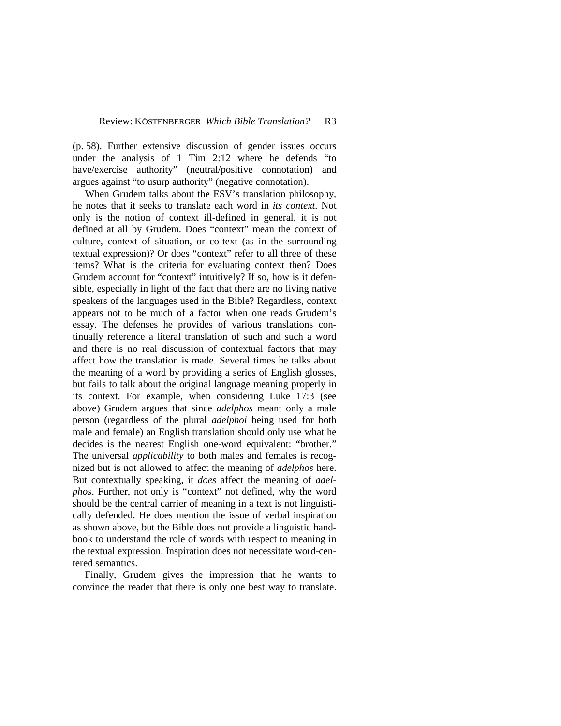(p. 58). Further extensive discussion of gender issues occurs under the analysis of 1 Tim 2:12 where he defends "to have/exercise authority" (neutral/positive connotation) and argues against "to usurp authority" (negative connotation).

When Grudem talks about the ESV's translation philosophy, he notes that it seeks to translate each word in *its context*. Not only is the notion of context ill-defined in general, it is not defined at all by Grudem. Does "context" mean the context of culture, context of situation, or co-text (as in the surrounding textual expression)? Or does "context" refer to all three of these items? What is the criteria for evaluating context then? Does Grudem account for "context" intuitively? If so, how is it defensible, especially in light of the fact that there are no living native speakers of the languages used in the Bible? Regardless, context appears not to be much of a factor when one reads Grudem's essay. The defenses he provides of various translations continually reference a literal translation of such and such a word and there is no real discussion of contextual factors that may affect how the translation is made. Several times he talks about the meaning of a word by providing a series of English glosses, but fails to talk about the original language meaning properly in its context. For example, when considering Luke 17:3 (see above) Grudem argues that since *adelphos* meant only a male person (regardless of the plural *adelphoi* being used for both male and female) an English translation should only use what he decides is the nearest English one-word equivalent: "brother." The universal *applicability* to both males and females is recognized but is not allowed to affect the meaning of *adelphos* here. But contextually speaking, it *does* affect the meaning of *adelphos*. Further, not only is "context" not defined, why the word should be the central carrier of meaning in a text is not linguistically defended. He does mention the issue of verbal inspiration as shown above, but the Bible does not provide a linguistic handbook to understand the role of words with respect to meaning in the textual expression. Inspiration does not necessitate word-centered semantics.

Finally, Grudem gives the impression that he wants to convince the reader that there is only one best way to translate.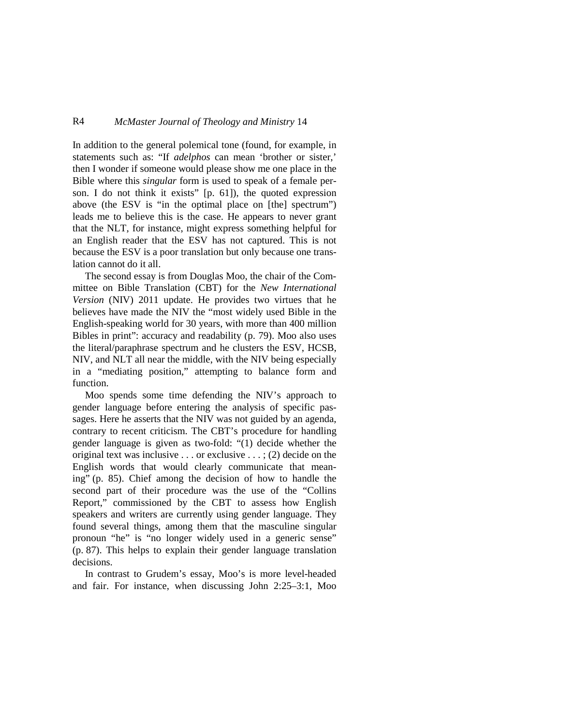# R4 *McMaster Journal of Theology and Ministry* 14

In addition to the general polemical tone (found, for example, in statements such as: "If *adelphos* can mean 'brother or sister,' then I wonder if someone would please show me one place in the Bible where this *singular* form is used to speak of a female person. I do not think it exists" [p. 61]), the quoted expression above (the ESV is "in the optimal place on [the] spectrum") leads me to believe this is the case. He appears to never grant that the NLT, for instance, might express something helpful for an English reader that the ESV has not captured. This is not because the ESV is a poor translation but only because one translation cannot do it all.

The second essay is from Douglas Moo, the chair of the Committee on Bible Translation (CBT) for the *New International Version* (NIV) 2011 update. He provides two virtues that he believes have made the NIV the "most widely used Bible in the English-speaking world for 30 years, with more than 400 million Bibles in print": accuracy and readability (p. 79). Moo also uses the literal/paraphrase spectrum and he clusters the ESV, HCSB, NIV, and NLT all near the middle, with the NIV being especially in a "mediating position," attempting to balance form and function.

Moo spends some time defending the NIV's approach to gender language before entering the analysis of specific passages. Here he asserts that the NIV was not guided by an agenda, contrary to recent criticism. The CBT's procedure for handling gender language is given as two-fold: "(1) decide whether the original text was inclusive . . . or exclusive . . . ; (2) decide on the English words that would clearly communicate that meaning" (p. 85). Chief among the decision of how to handle the second part of their procedure was the use of the "Collins Report," commissioned by the CBT to assess how English speakers and writers are currently using gender language. They found several things, among them that the masculine singular pronoun "he" is "no longer widely used in a generic sense" (p. 87). This helps to explain their gender language translation decisions.

In contrast to Grudem's essay, Moo's is more level-headed and fair. For instance, when discussing John 2:25–3:1, Moo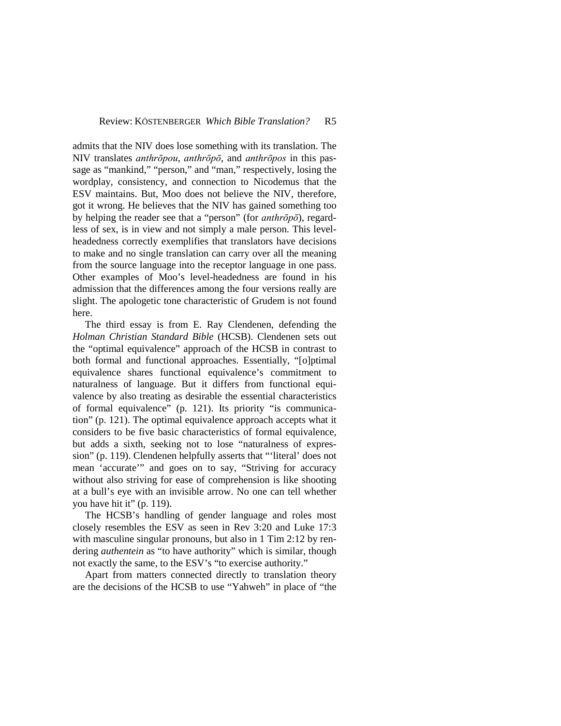admits that the NIV does lose something with its translation. The NIV translates *anthrōpou*, *anthrōpō*, and *anthrōpos* in this passage as "mankind," "person," and "man," respectively, losing the wordplay, consistency, and connection to Nicodemus that the ESV maintains. But, Moo does not believe the NIV, therefore, got it wrong. He believes that the NIV has gained something too by helping the reader see that a "person" (for *anthrōpō*), regardless of sex, is in view and not simply a male person. This levelheadedness correctly exemplifies that translators have decisions to make and no single translation can carry over all the meaning from the source language into the receptor language in one pass. Other examples of Moo's level-headedness are found in his admission that the differences among the four versions really are slight. The apologetic tone characteristic of Grudem is not found here.

The third essay is from E. Ray Clendenen, defending the *Holman Christian Standard Bible* (HCSB). Clendenen sets out the "optimal equivalence" approach of the HCSB in contrast to both formal and functional approaches. Essentially, "[o]ptimal equivalence shares functional equivalence's commitment to naturalness of language. But it differs from functional equivalence by also treating as desirable the essential characteristics of formal equivalence" (p. 121). Its priority "is communication" (p. 121). The optimal equivalence approach accepts what it considers to be five basic characteristics of formal equivalence, but adds a sixth, seeking not to lose "naturalness of expression" (p. 119). Clendenen helpfully asserts that "'literal' does not mean 'accurate'" and goes on to say, "Striving for accuracy without also striving for ease of comprehension is like shooting at a bull's eye with an invisible arrow. No one can tell whether you have hit it" (p. 119).

The HCSB's handling of gender language and roles most closely resembles the ESV as seen in Rev 3:20 and Luke 17:3 with masculine singular pronouns, but also in 1 Tim 2:12 by rendering *authentein* as "to have authority" which is similar, though not exactly the same, to the ESV's "to exercise authority."

Apart from matters connected directly to translation theory are the decisions of the HCSB to use "Yahweh" in place of "the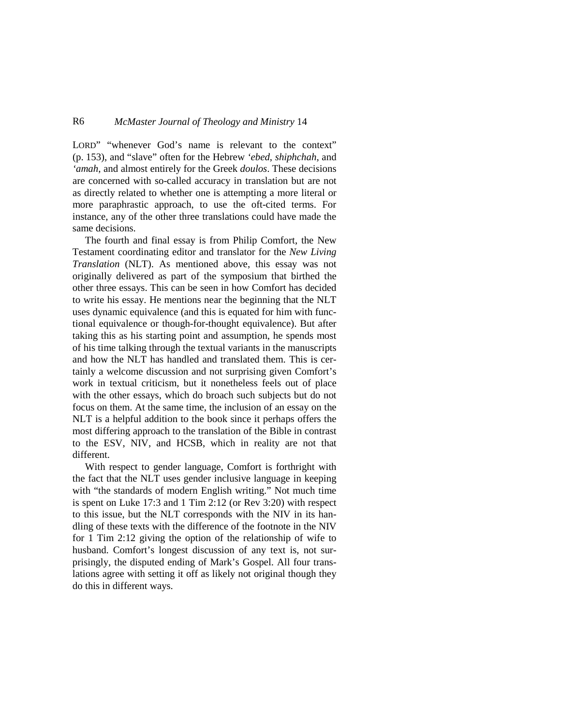## R6 *McMaster Journal of Theology and Ministry* 14

LORD" "whenever God's name is relevant to the context" (p. 153), and "slave" often for the Hebrew *'ebed*, *shiphchah*, and *'amah*, and almost entirely for the Greek *doulos*. These decisions are concerned with so-called accuracy in translation but are not as directly related to whether one is attempting a more literal or more paraphrastic approach, to use the oft-cited terms. For instance, any of the other three translations could have made the same decisions.

The fourth and final essay is from Philip Comfort, the New Testament coordinating editor and translator for the *New Living Translation* (NLT). As mentioned above, this essay was not originally delivered as part of the symposium that birthed the other three essays. This can be seen in how Comfort has decided to write his essay. He mentions near the beginning that the NLT uses dynamic equivalence (and this is equated for him with functional equivalence or though-for-thought equivalence). But after taking this as his starting point and assumption, he spends most of his time talking through the textual variants in the manuscripts and how the NLT has handled and translated them. This is certainly a welcome discussion and not surprising given Comfort's work in textual criticism, but it nonetheless feels out of place with the other essays, which do broach such subjects but do not focus on them. At the same time, the inclusion of an essay on the NLT is a helpful addition to the book since it perhaps offers the most differing approach to the translation of the Bible in contrast to the ESV, NIV, and HCSB, which in reality are not that different.

With respect to gender language, Comfort is forthright with the fact that the NLT uses gender inclusive language in keeping with "the standards of modern English writing." Not much time is spent on Luke 17:3 and 1 Tim 2:12 (or Rev 3:20) with respect to this issue, but the NLT corresponds with the NIV in its handling of these texts with the difference of the footnote in the NIV for 1 Tim 2:12 giving the option of the relationship of wife to husband. Comfort's longest discussion of any text is, not surprisingly, the disputed ending of Mark's Gospel. All four translations agree with setting it off as likely not original though they do this in different ways.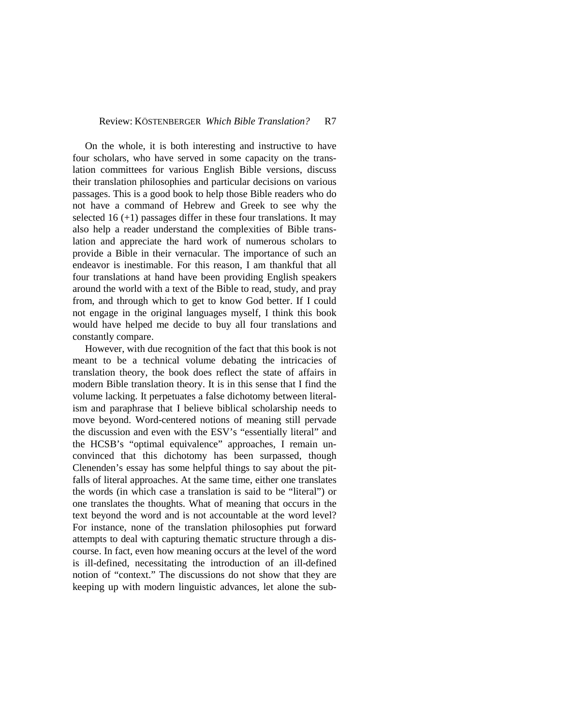On the whole, it is both interesting and instructive to have four scholars, who have served in some capacity on the translation committees for various English Bible versions, discuss their translation philosophies and particular decisions on various passages. This is a good book to help those Bible readers who do not have a command of Hebrew and Greek to see why the selected 16  $(+1)$  passages differ in these four translations. It may also help a reader understand the complexities of Bible translation and appreciate the hard work of numerous scholars to provide a Bible in their vernacular. The importance of such an endeavor is inestimable. For this reason, I am thankful that all four translations at hand have been providing English speakers around the world with a text of the Bible to read, study, and pray from, and through which to get to know God better. If I could not engage in the original languages myself, I think this book would have helped me decide to buy all four translations and constantly compare.

However, with due recognition of the fact that this book is not meant to be a technical volume debating the intricacies of translation theory, the book does reflect the state of affairs in modern Bible translation theory. It is in this sense that I find the volume lacking. It perpetuates a false dichotomy between literalism and paraphrase that I believe biblical scholarship needs to move beyond. Word-centered notions of meaning still pervade the discussion and even with the ESV's "essentially literal" and the HCSB's "optimal equivalence" approaches, I remain unconvinced that this dichotomy has been surpassed, though Clenenden's essay has some helpful things to say about the pitfalls of literal approaches. At the same time, either one translates the words (in which case a translation is said to be "literal") or one translates the thoughts. What of meaning that occurs in the text beyond the word and is not accountable at the word level? For instance, none of the translation philosophies put forward attempts to deal with capturing thematic structure through a discourse. In fact, even how meaning occurs at the level of the word is ill-defined, necessitating the introduction of an ill-defined notion of "context." The discussions do not show that they are keeping up with modern linguistic advances, let alone the sub-